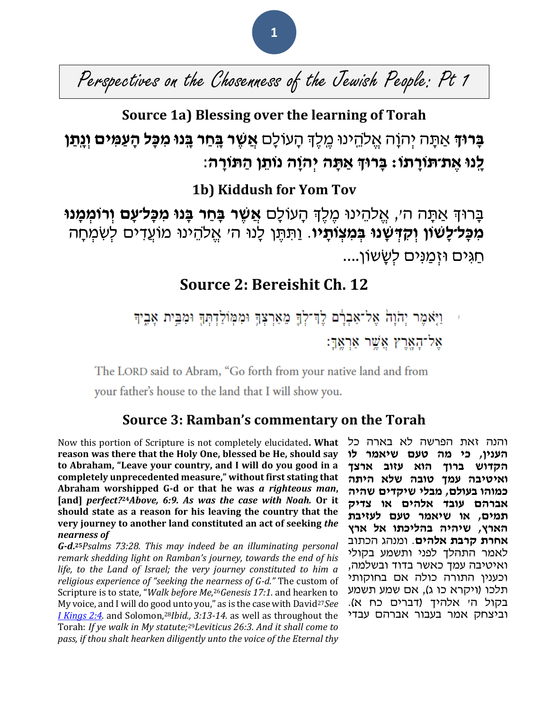# Perspectives on the Chosenness of the Jewish People: Pt 1

# **Source 1a) Blessing over the learning of Torah**

**ַבְּרוּד אַתָּה יִהוַֹה אֱלֹהֱינוּ מֵלֵךְ הַעוֹלַם <b>אֲשֶׁר בָּחַר בָּנוּ מִכָּל הָעַמִּים וְנֵתַן לָּ ָּֽ נּו אֶׁ ת־ּתֹורָּ תֹו: בָּ רּוְך אַ ּתָּ ה יְהֹוָּה נֹותֵ ן הַ ּתֹורָּ ה**:

# **1b) Kiddush for Yom Tov**

בָּ רּוְך אַ תָּ ה ה', אֱ לה ינּו מֶ לְֶך הָּ עולָּם **אֲ שֶׁ ר בָּ חַ ר בָּ נּו מִ כָּל־עָּ ם וְ רֹומְ מָּ נּו מִכָּל־לָשׁוֹן וְקִדְּשָׁנוּ בִּמִצְוֹתָיו**. וַתִּתֶּן לָנוּ ה׳ אֱלֹהֵינוּ מוֹעֲדִים לְשִׂמְחָה חַ גִּ ים ּוזְ מַ נִּים לְשָּ שון....

# **Source 2: Bereishit Ch. 12**

וַיַּאמֶר יְהֹוָה אֱל־אַבְרָם לֵדְ־לְדֶ מֶאַרְצְדֶ וּמְמִוֹלַדְתְּדֶ וּמִבֵּית אָבֵידִּ אָל־הָאֱרֶץ אֲשֶׁר אַרְאֶךָ:

The LORD said to Abram, "Go forth from your native land and from your father's house to the land that I will show you.

## **Source 3: Ramban's commentary on the Torah**

Now this portion of Scripture is not completely elucidated**. What reason was there that the Holy One, blessed be He, should say to Abraham, "Leave your country, and I will do you good in a completely unprecedented measure," without first stating that Abraham worshipped G-d or that he was** *a righteous man***, [and]** *perfect?***24***Above, 6:9. As was the case with Noah.* **Or it should state as a reason for his leaving the country that the very journey to another land constituted an act of seeking** *the nearness of*

*G-d***. <sup>25</sup>***Psalms 73:28. This may indeed be an illuminating personal remark shedding light on Ramban's journey, towards the end of his life, to the Land of Israel; the very journey constituted to him a religious experience of "seeking the nearness of G-d."* The custom of Scripture is to state, "*Walk before Me*, <sup>26</sup>*Genesis 17:1.* and hearken to My voice, and I will do good unto you," as is the case with David27*See [I Kings 2:4.](/I_Kings.2.4)* and Solomon,28*Ibid., 3:13-14.* as well as throughout the Torah: *If ye walk in My statute;*29*Leviticus 26:3. And it shall come to pass, if thou shalt hearken diligently unto the voice of the Eternal thy* 

והנה זאת הפרשה לא בארה כל **הענין, כי מה טעם שיאמר לו הקדוש ברוך הוא עזוב ארצך ואיטיבה עמך טובה שלא היתה כמוהו בעולם, מבלי שיקדים שהיה אברהם עובד אלהים או צדיק תמים, או שיאמר טעם לעזיבת הארץ, שיהיה בהליכתו אל ארץ אחרת קרבת אלהים**. ומנהג הכתוב לאמר התהלך לפני ותשמע בקולי ואיטיבה עמך כאשר בדוד ובשלמה, וכענין התורה כולה אם בחוקותי תלכו (ויקרא כו ג), אם שמע תשמע בקול הי אלהיך (דברים כח א). וביצחק אמר בעבור אברהם עבדי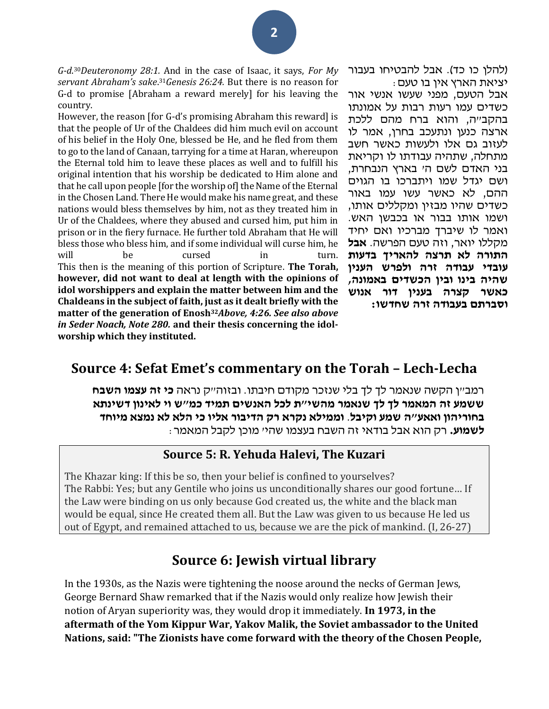*G-d*. <sup>30</sup>*Deuteronomy 28:1.* And in the case of Isaac, it says, *For My servant Abraham's sake*. <sup>31</sup>*Genesis 26:24.* But there is no reason for G-d to promise [Abraham a reward merely] for his leaving the country.

However, the reason [for G-d's promising Abraham this reward] is that the people of Ur of the Chaldees did him much evil on account of his belief in the Holy One, blessed be He, and he fled from them to go to the land of Canaan, tarrying for a time at Haran, whereupon the Eternal told him to leave these places as well and to fulfill his original intention that his worship be dedicated to Him alone and that he call upon people [for the worship of] the Name of the Eternal in the Chosen Land. There He would make his name great, and these nations would bless themselves by him, not as they treated him in Ur of the Chaldees, where they abused and cursed him, put him in prison or in the fiery furnace. He further told Abraham that He will bless those who bless him, and if some individual will curse him, he will be cursed in turn. This then is the meaning of this portion of Scripture. **The Torah, however, did not want to deal at length with the opinions of idol worshippers and explain the matter between him and the Chaldeans in the subject of faith, just as it dealt briefly with the matter of the generation of Enosh32***Above, 4:26. See also above in Seder Noach, Note 280.* **and their thesis concerning the idolworship which they instituted.**

(להלן כו כד). אבל להבטיחו בעבור יציאת הארץ אין בו טעם:

אבל הטעם, מפני שעשו אנשי אור כשדים עמו רעות רבות על אמונתו בהקב"ה, והוא ברח מהם ללכת ארצה כנען ונתעכב בחרן, אמר לו לעזוב גם אלו ולעשות כאשר חשב מתחלה, שתהיה עבודתו לו וקריאת בני האדם לשם ה' בארץ הנבחרת, ושם יגדל שמו ויתברכו בו הגוים ההם, לא כאשר עשו עמו באור כשדים שהיו מבזין ומקללים אותו, ושמו אותו בבור או בכבשן האש. ואמר לו שיברך מברכיו ואם יחיד מקללו יואר, וזה טעם הפרשה. **אבל התורה לא תרצה להאריך בדעות עובדי עבודה זרה ולפרש הענין שהיה בינו ובין הכשדים באמונה, כאשר קצרה בענין דור אנוש וסברתם בעבודה זרה שחדשו:**

## **Source 4: Sefat Emet's commentary on the Torah – Lech-Lecha**

רמב"ן הקשה שנאמר לך לך בלי שנזכר מקודם חיבתו. ובזוה"ק נראה **כי זה עצמו השבח ששמע זה המאמר לך לך שנאמר מהשי"ת לכל האנשים תמיד כמ"ש וי לאינון דשינתא בחוריהון ואאע"ה שמע וקיבל**. **וממילא נקרא רק הדיבור אליו כי הלא לא נמצא מיוחד לשמוע.** רק הוא אבל בודאי זה השבח בעצמו שהי' מוכן לקבל המאמר:

#### **Source 5: R. Yehuda Halevi, The Kuzari**

The Khazar king: If this be so, then your belief is confined to yourselves? The Rabbi: Yes; but any Gentile who joins us unconditionally shares our good fortune… If the Law were binding on us only because God created us, the white and the black man would be equal, since He created them all. But the Law was given to us because He led us out of Egypt, and remained attached to us, because we are the pick of mankind. (I, 26-27)

# **Source 6: Jewish virtual library**

In the 1930s, as the Nazis were tightening the noose around the necks of German Jews, George Bernard Shaw remarked that if the Nazis would only realize how Jewish their notion of Aryan superiority was, they would drop it immediately. **In 1973, in the aftermath of the Yom Kippur War, Yakov Malik, the Soviet ambassador to the United Nations, said: "The Zionists have come forward with the theory of the Chosen People,**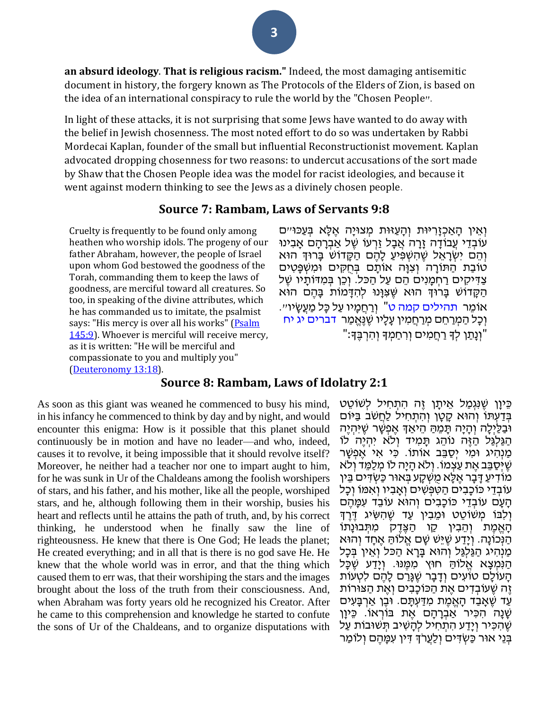**an absurd ideology**. **That is religious racism."** Indeed, the most damaging antisemitic document in history, the forgery known as The Protocols of the Elders of Zion, is based on the idea of an international conspiracy to rule the world by the "Chosen People".

In light of these attacks, it is not surprising that some Jews have wanted to do away with the belief in Jewish chosenness. The most noted effort to do so was undertaken by Rabbi Mordecai Kaplan, founder of the small but influential Reconstructionist movement. Kaplan advocated dropping chosenness for two reasons: to undercut accusations of the sort made by Shaw that the Chosen People idea was the model for racist ideologies, and because it went against modern thinking to see the Jews as a divinely chosen people .

#### **Source 7: Rambam, Laws of Servants 9:8**

Cruelty is frequently to be found only among heathen who worship idols. The progeny of our father Abraham, however, the people of Israel upon whom God bestowed the goodness of the Torah, commanding them to keep the laws of goodness, are merciful toward all creatures. So too, in speaking of the divine attributes, which he has commanded us to imitate, the psalmist says: "His mercy is over all his works" [\(Psalm](/Psalms.145.9)  [145:9\)](/Psalms.145.9). Whoever is merciful will receive mercy, as it is written: "He will be merciful and compassionate to you and multiply you" [\(Deuteronomy 13:18\)](/Deuteronomy.13.18).

וְאֵין הָאַכְזָרִיּוּת וְהָעַזּוּת מְצוּיַה אֵלֵּא בְּעֲכּוּ׳׳ם עובְדֵי עֲבוֹדָה זָרָה אֲבָל זַרְעוֹ שֶׁל אַבְרָהָם אַבְינוּ ֿוְהֶם יִשְׂרָאֵל שֶׁהָשְׁפִּיעַ לָהֵם הַקָּדוֹשׁ בָּרוּדְּ הוּא ּטוֹבַת הַתּוֹרַה וְצִוַּּה אוֹתַּם בְּחֻקִּים וּמִשְׁפָּטִים צַדִּיקִים רַחְמַנִים הֵם עַל הַכּל. וְכֵן בִּמְדּוֹתֵיו שֵׁל הַקָּדוֹשׁ בָּרוּךְ הוּא שֶׁצִּוְּנוּ לְהִדָּמוֹת בָּהֶם הוּא אומר [תהילים קמה ט](/Psalms.145.9)" וְרַחֲמָיו עַל כָּל מַעֲשָׂיו״. וְכָל הַמְרַחֵם מְרַחֲמִין עָלָיו שֶׁנֶּאֱמַר [דברים יג יח](/Deuteronomy.13.18) "וְנַתַו לִדְּ רַחֲמִים וְרְחַמְךָ וְהִרְבֶּךָ:"

#### **Source 8: Rambam, Laws of Idolatry 2:1**

As soon as this giant was weaned he commenced to busy his mind, in his infancy he commenced to think by day and by night, and would encounter this enigma: How is it possible that this planet should continuously be in motion and have no leader—and who, indeed, causes it to revolve, it being impossible that it should revolve itself? Moreover, he neither had a teacher nor one to impart aught to him, for he was sunk in Ur of the Chaldeans among the foolish worshipers of stars, and his father, and his mother, like all the people, worshiped stars, and he, although following them in their worship, busies his heart and reflects until he attains the path of truth, and, by his correct thinking, he understood when he finally saw the line of righteousness. He knew that there is One God; He leads the planet; He created everything; and in all that is there is no god save He. He knew that the whole world was in error, and that the thing which caused them to err was, that their worshiping the stars and the images brought about the loss of the truth from their consciousness. And, when Abraham was forty years old he recognized his Creator. After he came to this comprehension and knowledge he started to confute the sons of Ur of the Chaldeans, and to organize disputations with

ַכֵּיוָן שֵׁנְגְמַל אֵיתָן זֶה הִתְחִיל לְשׁוֹטֵט בְּדַעְתּוֹ וְהוּא קַטָן וְהִתְחִיל לַחֲשֹׁב בַּיּוֹם ּובַ לַיְלָּה וְ הָּ יָּה תָּ מ הַ ה יאַ ְך אֶ פְ שָּ ר שֶ ּיִּהְ יֶה הַגַּלְגַּל הַזֶּה נוֹהֶג תַּמְיד וְלֹא יִהְיֶה לוֹ מַנְהָיג וּמִי יִסַבֵּב אוֹתוֹ. כִּי אִי אֵפְשַׁר שֵׁיִּסַבֵּב אֵת עַצְמוֹ. וְלֹא הָיָה לוֹ מִלַמֵּד וְלֹא ּ מוֹדִיעַ דַּבַר אֵלֵא מֵשָׁקַע בִּאוּר כַּשְׂדִּים בֵּין עוֹבְדֵי כּוֹכַבִּים הַטָּפְּשִׁים וְאֲבִיו וְאִמּוֹ וְכַל הַעֲם עוֹבְדֵי כּוֹכַבִּים וְהוּא עוֹבֶד עִמַּהֵם וְלִבּוֹ מְשִׁוֹטֵט וּמֵבִין עַד שֵׁהָשִׂיג דֶּרֵךְ הָאֱמֶת וְהֵבִין קֵו הַצֵּדֶק מִתְּבוּנָתוֹ הַנְּכוֹנֵה. וְיָדַע שֶׁיֵּשׁ שָׁם אֱלוֹהַ אֶחָד וְהוּא ּמַנְהִיג הַגַּלְגַּל וְהוּא בָּרֵא הַכּל וְאֵין בְּכַל הַנִּמְצָא אֱלוֹהַּ חוּץ מִמֵּנּוּ. וְיָדַע שֶׁכָּל הַעוֹלָם טוֹעִים וְדָבָר שֶׁגֲרַם לָהֶם לִטְעוֹת זֶה שֶ עובְ דִּ ים אֶ ת הַ ּכוכָּבִּ ים וְ אֶ ת הַ צּורות ּעַד שֶׁאַבַד הַאֱמֶת מִדַּעְתַּם. וּבֵן אַרְבַּעִים ּעָנָה הִכָּיר אַבְרָהָם אֵת בּוֹרְאוֹ. כֵּיוַן שֶׁהִכִּיר וְיַדַע הִתְחִיל לְהַשִּׁיב תִּשִּׁוּבוֹת עַל ּבְּנֵי אוּר כַּשְׂדִּים וְלֵעֲרֹךְּ דִּין עִמֲהֶם וְלוֹמַר

**3**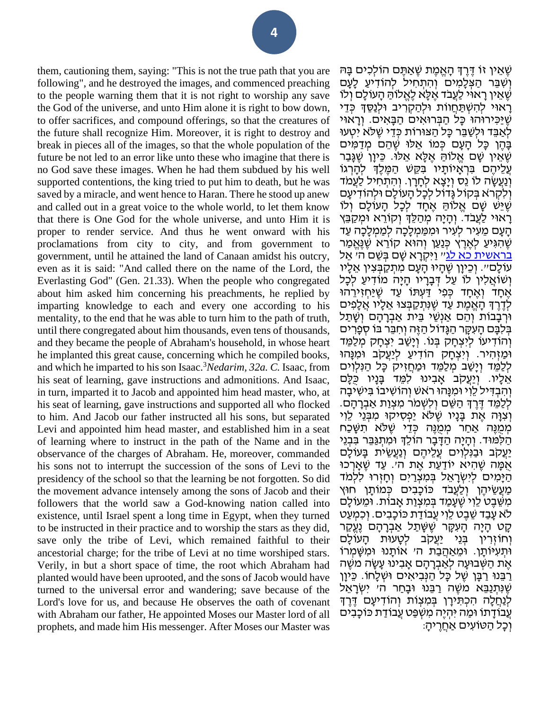them, cautioning them, saying: "This is not the true path that you are following", and he destroyed the images, and commenced preaching to the people warning them that it is not right to worship any save the God of the universe, and unto Him alone it is right to bow down, to offer sacrifices, and compound offerings, so that the creatures of the future shall recognize Him. Moreover, it is right to destroy and break in pieces all of the images, so that the whole population of the future be not led to an error like unto these who imagine that there is no God save these images. When he had them subdued by his well supported contentions, the king tried to put him to death, but he was saved by a miracle, and went hence to Haran. There he stood up anew and called out in a great voice to the whole world, to let them know that there is One God for the whole universe, and unto Him it is proper to render service. And thus he went onward with his proclamations from city to city, and from government to government, until he attained the land of Canaan amidst his outcry, even as it is said: "And called there on the name of the Lord, the Everlasting God" (Gen. 21.33). When the people who congregated about him asked him concerning his preachments, he replied by imparting knowledge to each and every one according to his mentality, to the end that he was able to turn him to the path of truth, until there congregated about him thousands, even tens of thousands, and they became the people of Abraham's household, in whose heart he implanted this great cause, concerning which he compiled books, and which he imparted to his son Isaac.<sup>3</sup>*Nedarim, 32a. C.* Isaac, from his seat of learning, gave instructions and admonitions. And Isaac, in turn, imparted it to Jacob and appointed him head master, who, at his seat of learning, gave instructions and supported all who flocked to him. And Jacob our father instructed all his sons, but separated Levi and appointed him head master, and established him in a seat of learning where to instruct in the path of the Name and in the observance of the charges of Abraham. He, moreover, commanded his sons not to interrupt the succession of the sons of Levi to the presidency of the school so that the learning be not forgotten. So did the movement advance intensely among the sons of Jacob and their followers that the world saw a God-knowing nation called into existence, until Israel spent a long time in Egypt, when they turned to be instructed in their practice and to worship the stars as they did, save only the tribe of Levi, which remained faithful to their ancestorial charge; for the tribe of Levi at no time worshiped stars. Verily, in but a short space of time, the root which Abraham had planted would have been uprooted, and the sons of Jacob would have turned to the universal error and wandering; save because of the Lord's love for us, and because He observes the oath of covenant with Abraham our father, He appointed Moses our Master lord of all prophets, and made him His messenger. After Moses our Master was

שֶׁאֱין זו דֶּרֶדְּ הַאֱמֶת שֶׁאֲתֵּם הוֹלִכִּים בַּהּ וְשָׁבֵּר הַצְלָמִים וְהִתְחִיל לְהוֹדִיעַ לַעֲם שֶׁאֱין רַאוּי לַעֲבֹד אֱלֵּא לֶאֱלוֹהַ הַעוֹלַם וְלוֹ ַרָּאוּי לְהָשְׁתַּחֲווֹת וּלְהַקְרִיב וּלְנַסֶּךְ כְּדֵי שֶ ּיַּכִּ ירּוהּו ּכָּל הַ בְ רּואִּ ים הַ בָּ אִּ ים. וְ רָּ אּוי ֹלְאַבֵּד וּלְשַׁבֵּר כָּל הַצּוּרוֹת כְּדֵי שֶׁלֹּא יִטְעוּ ַבְּהֵן כַּל הַעֲם כְּמוֹ אֵלּוּ שֶׁהֶם מְדַמְּים שֶׁאֱין שַׁם אֱלֹוּהַ אֱלֵּא אֱלּוּ. כֵּיוַן שֶׁגַּבַר עֲלֵיהֶם בִּרְאֲיוֹתֵיו בִּקֶשׁ הַמֶּלֶךְ לְהַרְגוֹ וְנַעֲשָׂה לוֹ נֵס וְיַצָּא לְחַרֵן. וְהִתְחִיל לַעֲמֹד וְלִקְרֹא בְּקוֹל גַּדוֹל לִכַּל הַעוֹלַם וּלִהוֹדִיעַם שֵׁ יֵּשׁ שָׁם אֱלוֹהַּ אֶחָד לְכָּל הָעוֹלָם וְלוֹ ַרָּאוּי לַעֲבֹד. וְהַיַּה מְהַלֶּדְּ וְקוֹרֵא וּמִקַבֵֵּץ הָעָם מֵעִיר לְעִיר וּמִמַּמִלָּכָה לִמַּמִלָּכָה עַד שֶׁהָגִּיעַ לְאֱרֶץ כְּנַעַן וְהוּא קוֹרֵא שֶׁנֵּאֱמַר <u>[בראשית כא לג](/Genesis.21.33)</u>ײ וַיִּקְרַא שַׁם בְּשֵׁם הי אֵל עוֹלַם". וְכֵיוַן שֶׁהָיוּ הַעֲם מִתְקַבְּצִין אֱלָיו וְשׁוֹאֲלִין לוֹ עַל דְּבָרָיו הָיָה מוֹדִיעַ לְכָל ּ אֱחָד וְאֱחַד כִּפִי דַּעְתּוֹ עַד שֶׁיַּחְזִירֵהוּ לְדֶרֶךְ הָאֱמֶת עַד שֶׁנִּתְקַבְּצוּ אֱלָיו אֲלָפִים ּוּרְבָבוֹת וְהֶם אֲנְשֵׁי בֵּית אֲבְרַהָם וְשַׁתַל בְּלָבָּם הַעְּקֵר הַגַּדוֹל הַזֶּה וְחִבֵּר בּוֹ סְפָרִים וְהוֹדְיעוֹ לִיִצְחַק בְּנוֹ. וְיַשַּׁב יְצְחַק מְלַמֵּד ּומַ זְ הִּ יר. וְ יִּצְ חָּ ק הודִּ יעַ לְיַעֲקֹׁב ּומִּ נָּהּו לְלַמֵּד וְיָשַׁב מִלַמֵּד וּמַחֲזִיק כָּל הַנִּלְוִים ּאֵלֵיו. וְיַעֲקֹב אֲבִינוּ לִמֵּד בַּנַיו כִּלַּם וְהֶבְדִּיל לֵוְי וּמִנַּהוּ רֹאשׁ וְהוֹשִׁיבוֹ בִּישִׁיבַה ּלְלַמֵּד דֶּרֶךְ הַשֶּׁם וְלִשְׁמֹר מִצְוַת אַבְרַהָּם. וְצִוָּה אֶת בָּנָיו שֵׁלֹּא יַפְסִיקוּ מִבְּנֵי לֵוְי מְמֻנֵּה אַחַר מְמַנֵּה כְּדֵי שֶׁלֹּא תִשָּׁכַח הַלְמּוּד. וְהַיָּה הַדָּבָר הוֹלֵךְ וּמִתְגַּבֵּר בִּבְנֵי ֿיַעֲקֹב וּבַנִּלְוִים עֲלֵיהֶם וְנַעֲשֵׂית בָּעוֹלַם אָמֶּה שֶׁהָיא יוֹדַעַת אֶת הי. עַד שֶׁאַרְכוּ הַיַּמִים לִיִשְׂרַאֵל בִּמִצְרַיִם וְחַזְרוּ לִלְמֹד ַמַעֲשֶׂיהֶן וְלֵעֲבֹד כּוֹכָבִים כְּמוֹתַן חוּץ ּמְשֶׁבֵט לֵוְי שֶׁעֲמַד בְּמִצְוַת אֲבוֹת. וּמֵעוֹלַם לֹא עַבַד שֶׁבֵט לֵוִי עֲבוֹדַת כּוֹכַבִּים. וְכִמְעַט ַקָּט הָיָה הַעְקֵּר שֶׁשֶּׁתַל אַבְרָהָם נֵעֱקָר וְחוֹזְרִין בְּנֵי יַעֲקֹב לְטַעוּת הַעוֹלַם וּתְעִיּוֹתֵן. וּמֵאַהֲבָת ה׳ אוֹתַנוּ וּמִשַּׁמִרוֹ אֶת הַשְּׁבוּעַה לְאֲבְרַהָם אֲבִינוּ עַשָּׂה מִשֶּׁה ַרַבְּנוּ רַבַּן שֶׁל כַּל הַנְבִיאִים וּשָׁלַחוֹ. כֵּיוַן שֶׁנִּתְנַבֵּא מִשֶׁה רַבֵּנוּ וּבַחַר ה׳ יִשְׂרָאֵל לְנַחֲלָה הִכְתִּירֵן בִּמְצְוֹת וְהוֹדִיעַם דֶּרֶדְּ עֲבוֹדָתוֹ וּמַה יִּהְיֵה מִשְׁפַּט עֲבוֹדַת כּוֹכָבִים וְכַל הַטּוֹעָים אַחֲרִיהַ: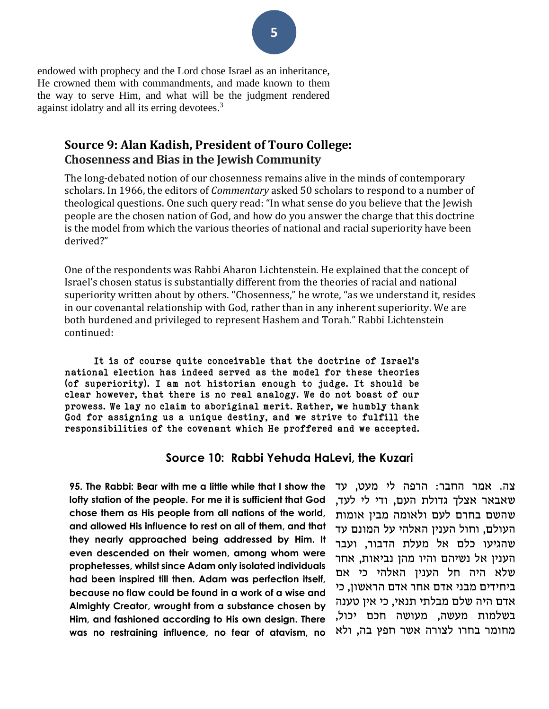endowed with prophecy and the Lord chose Israel as an inheritance, He crowned them with commandments, and made known to them the way to serve Him, and what will be the judgment rendered against idolatry and all its erring devotees.<sup>3</sup>

### **Source 9: Alan Kadish, President of Touro College: Chosenness and Bias in the Jewish Community**

The long-debated notion of our chosenness remains alive in the minds of contemporary scholars. In 1966, the editors of *Commentary* asked 50 scholars to respond to a number of theological questions. One such query read: "In what sense do you believe that the Jewish people are the chosen nation of God, and how do you answer the charge that this doctrine is the model from which the various theories of national and racial superiority have been derived?"

One of the respondents was Rabbi Aharon Lichtenstein. He explained that the concept of Israel's chosen status is substantially different from the theories of racial and national superiority written about by others. "Chosenness," he wrote, "as we understand it, resides in our covenantal relationship with God, rather than in any inherent superiority. We are both burdened and privileged to represent Hashem and Torah." Rabbi Lichtenstein continued:

 **It is of course quite conceivable that the doctrine of Israel's national election has indeed served as the model for these theories (of superiority). I am not historian enough to judge. It should be clear however, that there is no real analogy. We do not boast of our prowess. We lay no claim to aboriginal merit. Rather, we humbly thank God for assigning us a unique destiny, and we strive to fulfill the responsibilities of the covenant which He proffered and we accepted.**

#### **Source 10: Rabbi Yehuda HaLevi, the Kuzari**

**95. The Rabbi: Bear with me a little while that I show the lofty station of the people. For me it is sufficient that God chose them as His people from all nations of the world, and allowed His influence to rest on all of them, and that they nearly approached being addressed by Him. It even descended on their women, among whom were prophetesses, whilst since Adam only isolated individuals had been inspired till then. Adam was perfection itself, because no flaw could be found in a work of a wise and Almighty Creator, wrought from a substance chosen by Him, and fashioned according to His own design. There was no restraining influence, no fear of atavism, no** 

צה. אמר החבר: הרפה לי מעט, עד שאבאר אצלך גדולת העם, ודי לי לעד, שהשם בחרם לעם ולאומה מבין אומות העולם, וחול הענין האלהי על המונם עד שהגיעו כלם אל מעלת הדבור, ועבר הענין אל נשיהם והיו מהן נביאות, אחר שלא היה חל הענין האלהי כי אם ביחידים מבני אדם אחר אדם הראשון, כי אדם היה שלם מבלתי תנאי, כי אין טענה בשלמות מעשה, מעושה חכם יכול, מחומר בחרו לצורה אשר חפץ בה, ולא

**5**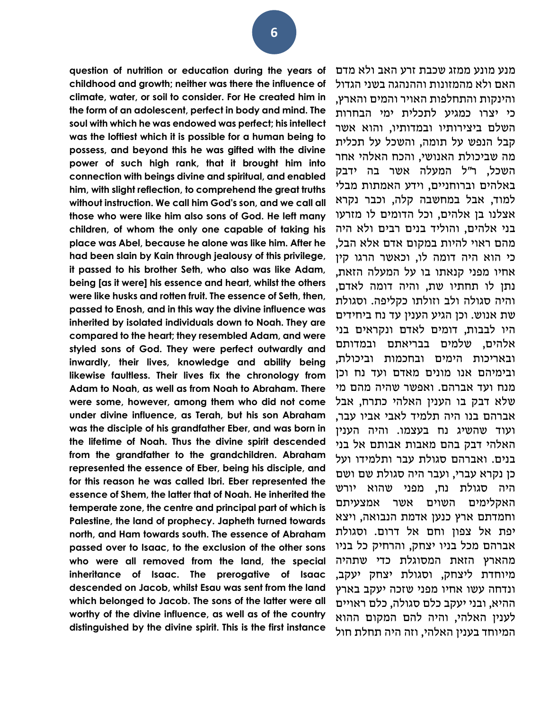**question of nutrition or education during the years of childhood and growth; neither was there the influence of climate, water, or soil to consider. For He created him in the form of an adolescent, perfect in body and mind. The soul with which he was endowed was perfect; his intellect was the loftiest which it is possible for a human being to possess, and beyond this he was gifted with the divine power of such high rank, that it brought him into connection with beings divine and spiritual, and enabled him, with slight reflection, to comprehend the great truths without instruction. We call him God's son, and we call all those who were like him also sons of God. He left many children, of whom the only one capable of taking his place was Abel, because he alone was like him. After he had been slain by Kain through jealousy of this privilege, it passed to his brother Seth, who also was like Adam, being [as it were] his essence and heart, whilst the others were like husks and rotten fruit. The essence of Seth, then, passed to Enosh, and in this way the divine influence was inherited by isolated individuals down to Noah. They are compared to the heart; they resembled Adam, and were styled sons of God. They were perfect outwardly and inwardly, their lives, knowledge and ability being likewise faultless. Their lives fix the chronology from Adam to Noah, as well as from Noah to Abraham. There were some, however, among them who did not come under divine influence, as Terah, but his son Abraham was the disciple of his grandfather Eber, and was born in the lifetime of Noah. Thus the divine spirit descended from the grandfather to the grandchildren. Abraham represented the essence of Eber, being his disciple, and for this reason he was called Ibri. Eber represented the essence of Shem, the latter that of Noah. He inherited the temperate zone, the centre and principal part of which is Palestine, the land of prophecy. Japheth turned towards north, and Ham towards south. The essence of Abraham passed over to Isaac, to the exclusion of the other sons who were all removed from the land, the special inheritance of Isaac. The prerogative of Isaac descended on Jacob, whilst Esau was sent from the land which belonged to Jacob. The sons of the latter were all worthy of the divine influence, as well as of the country distinguished by the divine spirit. This is the first instance** 

מנע מונע ממזג שכבת זרע האב ולא מדם האם ולא מהמזונות וההנהגה בשני הגדול והינקות והתחלפות האויר והמים והארץ, כי יצרו כמגיע לתכלית ימי הבחרות השלם ביצירותיו ובמדותיו, והוא אשר קבל הנפש על תומה, והשכל על תכלית מה שביכולת האנושי, והכח האלהי אחר השכל, ר"ל המעלה אשר בה ידבק באלהים וברוחניים, וידע האמתות מבלי למוד, אבל במחשבה קלה, וכבר נקרא אצלנו בן אלהים, וכל הדומים לו מזרעו בני אלהים, והוליד בנים רבים ולא היה מהם ראוי להיות במקום אדם אלא הבל, כי הוא היה דומה לו, וכאשר הרגו קין אחיו מפני קנאתו בו על המעלה הזאת, נתן לו תחתיו שת, והיה דומה לאדם, והיה סגולה ולב וזולתו כקליפה. וסגולת שת אנוש. וכן הגיע הענין עד נח ביחידים היו לבבות, דומים לאדם ונקראים בני אלהים, שלמים בבריאתם ובמדותם ובאריכות הימים ובחכמות וביכולת, ובימיהם אנו מונים מאדם ועד נח וכן מנח ועד אברהם. ואפשר שהיה מהם מי שלא דבק בו הענין האלהי כתרח, אבל אברהם בנו היה תלמיד לאבי אביו עבר, ועוד שהשיג נח בעצמו. והיה הענין האלהי דבק בהם מאבות אבותם אל בני בנים. ואברהם סגולת עבר ותלמידו ועל כן נקרא עברי, ועבר היה סגולת שם ושם היה סגולת נח, מפני שהוא יורש האקלימים השוים אשר אמצעיתם וחמדתם ארץ כנען אדמת הנבואה, ויצא יפת אל צפון וחם אל דרום. וסגולת אברהם מכל בניו יצחק, והרחיק כל בניו מהארץ הזאת המסוגלת כדי שתהיה מיוחדת ליצחק, וסגולת יצחק יעקב, ונדחה עשו אחיו מפני שזכה יעקב בארץ ההיא, ובני יעקב כלם סגולה, כלם ראויים לענין האלהי, והיה להם המקום ההוא המיוחד בענין האלהי, וזה היה תחלת חול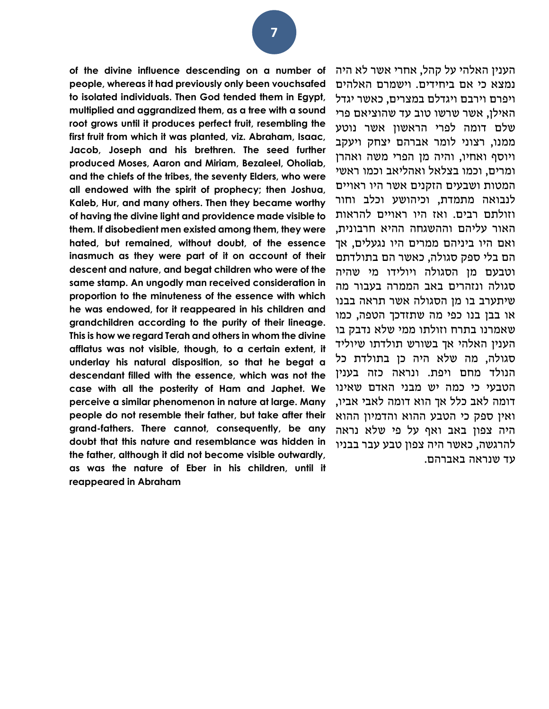**7**

**of the divine influence descending on a number of people, whereas it had previously only been vouchsafed to isolated individuals. Then God tended them in Egypt, multiplied and aggrandized them, as a tree with a sound root grows until it produces perfect fruit, resembling the first fruit from which it was planted, viz. Abraham, Isaac, Jacob, Joseph and his brethren. The seed further produced Moses, Aaron and Miriam, Bezaleel, Oholiab, and the chiefs of the tribes, the seventy Elders, who were all endowed with the spirit of prophecy; then Joshua, Kaleb, Hur, and many others. Then they became worthy of having the divine light and providence made visible to them. If disobedient men existed among them, they were hated, but remained, without doubt, of the essence inasmuch as they were part of it on account of their descent and nature, and begat children who were of the same stamp. An ungodly man received consideration in proportion to the minuteness of the essence with which he was endowed, for it reappeared in his children and grandchildren according to the purity of their lineage. This is how we regard Terah and others in whom the divine afflatus was not visible, though, to a certain extent, it underlay his natural disposition, so that he begat a descendant filled with the essence, which was not the case with all the posterity of Ham and Japhet. We perceive a similar phenomenon in nature at large. Many people do not resemble their father, but take after their grand-fathers. There cannot, consequently, be any doubt that this nature and resemblance was hidden in the father, although it did not become visible outwardly, as was the nature of Eber in his children, until it reappeared in Abraham**

הענין האלהי על קהל, אחרי אשר לא היה נמצא כי אם ביחידים. וישמרם האלהים ויפרם וירבם ויגדלם במצרים, כאשר יגדל האילן, אשר שרשו טוב עד שהוציאם פרי שלם דומה לפרי הראשון אשר נוטע ממנו, רצוני לומר אברהם יצחק ויעקב ויוסף ואחיו, והיה מן הפרי משה ואהרן ומרים, וכמו בצלאל ואהליאב וכמו ראשי המטות ושבעים הזקנים אשר היו ראויים לנבואה מתמדת, וכיהושע וכלב וחור וזולתם רבים. ואז היו ראויים להראות האור עליהם וההשגחה ההיא חרבונית, ואם היו ביניהם ממרים היו נגעלים, אך הם בלי ספק סגולה, כאשר הם בתולדתם וטבעם מן הסגולה ויולידו מי שהיה סגולה ונזהרים באב הממרה בעבור מה שיתערב בו מן הסגולה אשר תראה בבנו או בבן בנו כפי מה שתזדכך הטפה, כמו שאמרנו בתרח וזולתו ממי שלא נדבק בו הענין האלהי אך בשורש תולדתו שיוליד סגולה, מה שלא היה כן בתולדת כל הנולד מחם ויפת. ונראה כזה בענין הטבעי כי כמה יש מבני האדם שאינו דומה לאב כלל אך הוא דומה לאבי אביו, ואין ספק כי הטבע ההוא והדמיון ההוא היה צפון באב ואף על פי שלא נראה להרגשה, כאשר היה צפון טבע עבר בבניו עד שנראה באברהם.